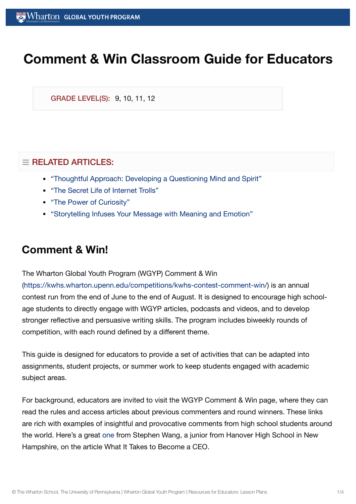# **Comment & Win Classroom Guide for Educators**

GRADE LEVEL(S): 9, 10, 11, 12

#### $\equiv$  RELATED ARTICLES:

- "Thoughtful Approach: Developing a [Questioning](https://globalyouth.wharton.upenn.edu/articles/thoughtful-approach-developing-a-questioning-mind-and-spirit/) Mind and Spirit"
- "The Secret Life of [Internet](https://globalyouth.wharton.upenn.edu/articles/entered-no-troll-zone/) Trolls"
- "The Power of [Curiosity"](https://globalyouth.wharton.upenn.edu/articles/the-power-of-curiosity/)
- "Storytelling [Infuses Your](https://globalyouth.wharton.upenn.edu/articles/storytelling-message-meaning-emotion/) Message with Meaning and Emotion"

### **Comment & Win!**

The Wharton Global Youth Program (WGYP) Comment & Win

[\(https://kwhs.wharton.upenn.edu/competitions/kwhs-contest-comment-win/](https://kwhs.wharton.upenn.edu/competitions/kwhs-contest-comment-win/)) is an annual contest run from the end of June to the end of August. It is designed to encourage high schoolage students to directly engage with WGYP articles, podcasts and videos, and to develop stronger reflective and persuasive writing skills. The program includes biweekly rounds of competition, with each round defined by a different theme.

This guide is designed for educators to provide a set of activities that can be adapted into assignments, student projects, or summer work to keep students engaged with academic subject areas.

For background, educators are invited to visit the WGYP Comment & Win page, where they can read the rules and access articles about previous commenters and round winners. These links are rich with examples of insightful and provocative comments from high school students around the world. Here's a great [one](https://globalyouth.wharton.upenn.edu/articles/what-it-takes-to-become-a-ceo/#comment-2669) from Stephen Wang, a junior from Hanover High School in New Hampshire, on the article What It Takes to Become a CEO.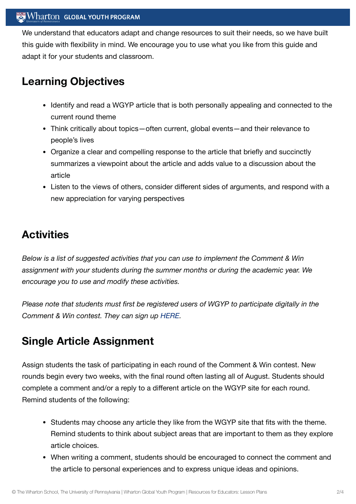#### Wharton GLOBAL YOUTH PROGRAM

We understand that educators adapt and change resources to suit their needs, so we have built this guide with flexibility in mind. We encourage you to use what you like from this guide and adapt it for your students and classroom.

### **Learning Objectives**

- Identify and read a WGYP article that is both personally appealing and connected to the current round theme
- Think critically about topics—often current, global events—and their relevance to people's lives
- Organize a clear and compelling response to the article that briefly and succinctly summarizes a viewpoint about the article and adds value to a discussion about the article
- Listen to the views of others, consider different sides of arguments, and respond with a new appreciation for varying perspectives

# **Activities**

*Below is a list of suggested activities that you can use to implement the Comment & Win assignment with your students during the summer months or during the academic year. We encourage you to use and modify these activities.*

*Please note that students must first be registered users of WGYP to participate digitally in the Comment & Win contest. They can sign up [HERE](https://kwhs.wharton.upenn.edu/register/).*

# **Single Article Assignment**

Assign students the task of participating in each round of the Comment & Win contest. New rounds begin every two weeks, with the final round often lasting all of August. Students should complete a comment and/or a reply to a different article on the WGYP site for each round. Remind students of the following:

- Students may choose any article they like from the WGYP site that fits with the theme. Remind students to think about subject areas that are important to them as they explore article choices.
- When writing a comment, students should be encouraged to connect the comment and the article to personal experiences and to express unique ideas and opinions.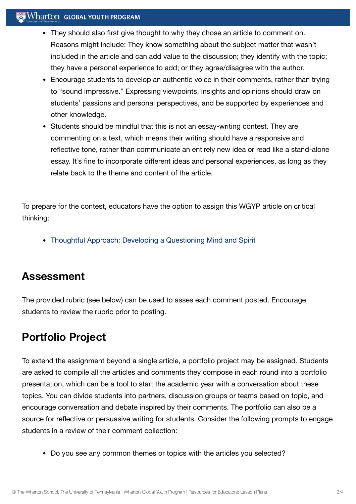#### **Wharton GLOBAL YOUTH PROGRAM**

- They should also first give thought to why they chose an article to comment on. Reasons might include: They know something about the subject matter that wasn't included in the article and can add value to the discussion; they identify with the topic; they have a personal experience to add; or they agree/disagree with the author.
- Encourage students to develop an authentic voice in their comments, rather than trying to "sound impressive." Expressing viewpoints, insights and opinions should draw on students' passions and personal perspectives, and be supported by experiences and other knowledge.
- Students should be mindful that this is not an essay-writing contest. They are commenting on a text, which means their writing should have a responsive and reflective tone, rather than communicate an entirely new idea or read like a stand-alone essay. It's fine to incorporate different ideas and personal experiences, as long as they relate back to the theme and content of the article.

To prepare for the contest, educators have the option to assign this WGYP article on critical thinking:

Thoughtful Approach: Developing a [Questioning](https://globalyouth.wharton.upenn.edu/articles/thoughtful-approach-developing-a-questioning-mind-and-spirit/) Mind and Spirit

### **Assessment**

The provided rubric (see below) can be used to asses each comment posted. Encourage students to review the rubric prior to posting.

# **Portfolio Project**

To extend the assignment beyond a single article, a portfolio project may be assigned. Students are asked to compile all the articles and comments they compose in each round into a portfolio presentation, which can be a tool to start the academic year with a conversation about these topics. You can divide students into partners, discussion groups or teams based on topic, and encourage conversation and debate inspired by their comments. The portfolio can also be a source for reflective or persuasive writing for students. Consider the following prompts to engage students in a review of their comment collection:

Do you see any common themes or topics with the articles you selected?